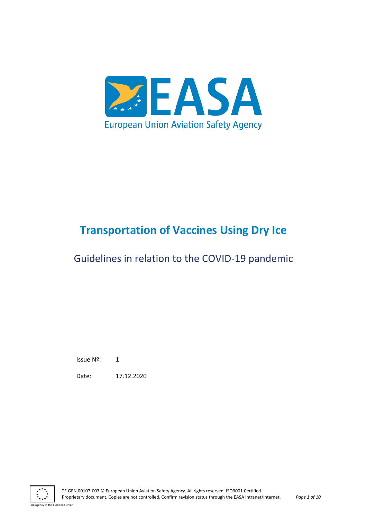

# **Transportation of Vaccines Using Dry Ice**

# Guidelines in relation to the COVID-19 pandemic

Issue Nº: 1

Date: 17.12.2020



ean Union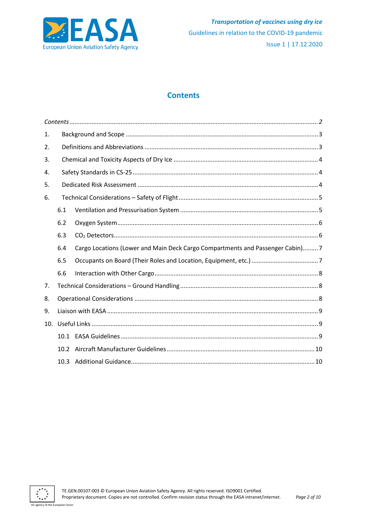

# **Contents**

<span id="page-1-0"></span>

| 1.  |                   |                                                                               |
|-----|-------------------|-------------------------------------------------------------------------------|
| 2.  |                   |                                                                               |
| 3.  |                   |                                                                               |
| 4.  |                   |                                                                               |
| 5.  |                   |                                                                               |
| 6.  |                   |                                                                               |
|     | 6.1               |                                                                               |
|     | 6.2               |                                                                               |
|     | 6.3               |                                                                               |
|     | 6.4               | Cargo Locations (Lower and Main Deck Cargo Compartments and Passenger Cabin)7 |
|     | 6.5               |                                                                               |
|     | 6.6               |                                                                               |
| 7.  |                   |                                                                               |
| 8.  |                   |                                                                               |
| 9.  |                   |                                                                               |
| 10. |                   |                                                                               |
|     | 10.1              |                                                                               |
|     | 10.2 <sup>2</sup> |                                                                               |
|     | 10.3 <sup>2</sup> |                                                                               |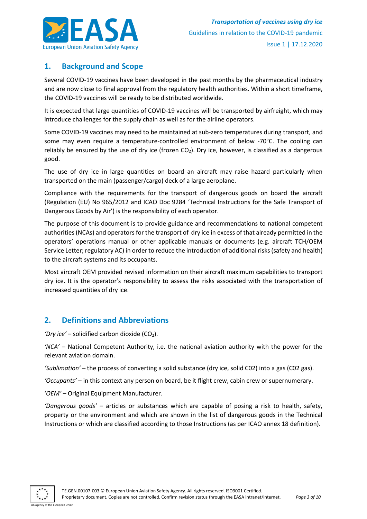

# <span id="page-2-0"></span>**1. Background and Scope**

Several COVID-19 vaccines have been developed in the past months by the pharmaceutical industry and are now close to final approval from the regulatory health authorities. Within a short timeframe, the COVID-19 vaccines will be ready to be distributed worldwide.

It is expected that large quantities of COVID-19 vaccines will be transported by airfreight, which may introduce challenges for the supply chain as well as for the airline operators.

Some COVID-19 vaccines may need to be maintained at sub-zero temperatures during transport, and some may even require a temperature-controlled environment of below -70°C. The cooling can reliably be ensured by the use of dry ice (frozen  $CO<sub>2</sub>$ ). Dry ice, however, is classified as a dangerous good.

The use of dry ice in large quantities on board an aircraft may raise hazard particularly when transported on the main (passenger/cargo) deck of a large aeroplane.

Compliance with the requirements for the transport of dangerous goods on board the aircraft (Regulation (EU) No 965/2012 and ICAO Doc 9284 'Technical Instructions for the Safe Transport of Dangerous Goods by Air') is the responsibility of each operator.

The purpose of this document is to provide guidance and recommendations to national competent authorities (NCAs) and operators for the transport of dry ice in excess of that already permitted in the operators' operations manual or other applicable manuals or documents (e.g. aircraft TCH/OEM Service Letter; regulatory AC) in order to reduce the introduction of additional risks (safety and health) to the aircraft systems and its occupants.

Most aircraft OEM provided revised information on their aircraft maximum capabilities to transport dry ice. It is the operator's responsibility to assess the risks associated with the transportation of increased quantities of dry ice.

# <span id="page-2-1"></span>**2. Definitions and Abbreviations**

' $Dry$  *ice*' – solidified carbon dioxide ( $CO<sub>2</sub>$ ).

*'NCA'* – National Competent Authority, i.e. the national aviation authority with the power for the relevant aviation domain.

*'Sublimation'* – the process of converting a solid substance (dry ice, solid C02) into a gas (C02 gas).

*'Occupants'* – in this context any person on board, be it flight crew, cabin crew or supernumerary.

'*OEM'* – Original Equipment Manufacturer.

*'Dangerous goods'* – articles or substances which are capable of posing a risk to health, safety, property or the environment and which are shown in the list of dangerous goods in the Technical Instructions or which are classified according to those Instructions (as per ICAO annex 18 definition).

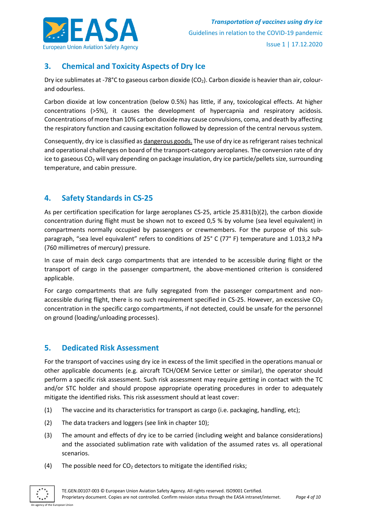

# <span id="page-3-0"></span>**3. Chemical and Toxicity Aspects of Dry Ice**

Dry ice sublimates at -78°C to gaseous carbon dioxide (CO<sub>2</sub>). Carbon dioxide is heavier than air, colourand odourless.

Carbon dioxide at low concentration (below 0.5%) has little, if any, toxicological effects. At higher concentrations (>5%), it causes the development of hypercapnia and respiratory acidosis. Concentrations of more than 10% carbon dioxide may cause convulsions, coma, and death by affecting the respiratory function and causing excitation followed by depression of the central nervous system.

Consequently, dry ice is classified as dangerous goods. The use of dry ice as refrigerant raises technical and operational challenges on board of the transport-category aeroplanes. The conversion rate of dry ice to gaseous CO<sub>2</sub> will vary depending on package insulation, dry ice particle/pellets size, surrounding temperature, and cabin pressure.

# <span id="page-3-1"></span>**4. Safety Standards in CS-25**

As per certification specification for large aeroplanes CS-25, article 25.831(b)(2), the carbon dioxide concentration during flight must be shown not to exceed 0,5 % by volume (sea level equivalent) in compartments normally occupied by passengers or crewmembers. For the purpose of this subparagraph, "sea level equivalent" refers to conditions of 25° C (77° F) temperature and 1.013,2 hPa (760 millimetres of mercury) pressure.

In case of main deck cargo compartments that are intended to be accessible during flight or the transport of cargo in the passenger compartment, the above-mentioned criterion is considered applicable.

For cargo compartments that are fully segregated from the passenger compartment and nonaccessible during flight, there is no such requirement specified in CS-25. However, an excessive CO<sub>2</sub> concentration in the specific cargo compartments, if not detected, could be unsafe for the personnel on ground (loading/unloading processes).

# <span id="page-3-2"></span>**5. Dedicated Risk Assessment**

For the transport of vaccines using dry ice in excess of the limit specified in the operations manual or other applicable documents (e.g. aircraft TCH/OEM Service Letter or similar), the operator should perform a specific risk assessment. Such risk assessment may require getting in contact with the TC and/or STC holder and should propose appropriate operating procedures in order to adequately mitigate the identified risks. This risk assessment should at least cover:

- (1) The vaccine and its characteristics for transport as cargo (i.e. packaging, handling, etc);
- (2) The data trackers and loggers (see link in chapter 10);
- (3) The amount and effects of dry ice to be carried (including weight and balance considerations) and the associated sublimation rate with validation of the assumed rates vs. all operational scenarios.
- (4) The possible need for  $CO<sub>2</sub>$  detectors to mitigate the identified risks;

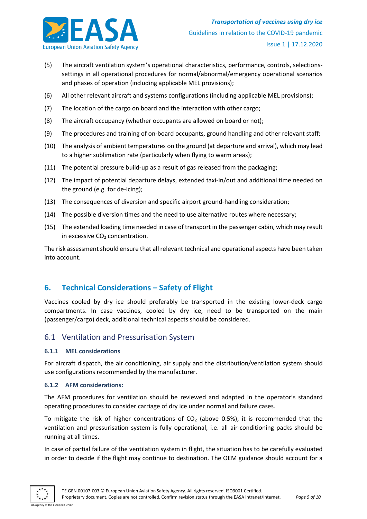

- (5) The aircraft ventilation system's operational characteristics, performance, controls, selectionssettings in all operational procedures for normal/abnormal/emergency operational scenarios and phases of operation (including applicable MEL provisions);
- (6) All other relevant aircraft and systems configurations (including applicable MEL provisions);
- (7) The location of the cargo on board and the interaction with other cargo;
- (8) The aircraft occupancy (whether occupants are allowed on board or not);
- (9) The procedures and training of on-board occupants, ground handling and other relevant staff;
- (10) The analysis of ambient temperatures on the ground (at departure and arrival), which may lead to a higher sublimation rate (particularly when flying to warm areas);
- (11) The potential pressure build-up as a result of gas released from the packaging;
- (12) The impact of potential departure delays, extended taxi-in/out and additional time needed on the ground (e.g. for de-icing);
- (13) The consequences of diversion and specific airport ground-handling consideration;
- (14) The possible diversion times and the need to use alternative routes where necessary;
- (15) The extended loading time needed in case of transport in the passenger cabin, which may result in excessive  $CO<sub>2</sub>$  concentration.

The risk assessment should ensure that all relevant technical and operational aspects have been taken into account.

# <span id="page-4-0"></span>**6. Technical Considerations – Safety of Flight**

Vaccines cooled by dry ice should preferably be transported in the existing lower-deck cargo compartments. In case vaccines, cooled by dry ice, need to be transported on the main (passenger/cargo) deck, additional technical aspects should be considered.

### <span id="page-4-1"></span>6.1 Ventilation and Pressurisation System

#### **6.1.1 MEL considerations**

For aircraft dispatch, the air conditioning, air supply and the distribution/ventilation system should use configurations recommended by the manufacturer.

#### **6.1.2 AFM considerations:**

The AFM procedures for ventilation should be reviewed and adapted in the operator's standard operating procedures to consider carriage of dry ice under normal and failure cases.

To mitigate the risk of higher concentrations of  $CO<sub>2</sub>$  (above 0.5%), it is recommended that the ventilation and pressurisation system is fully operational, i.e. all air-conditioning packs should be running at all times.

In case of partial failure of the ventilation system in flight, the situation has to be carefully evaluated in order to decide if the flight may continue to destination. The OEM guidance should account for a

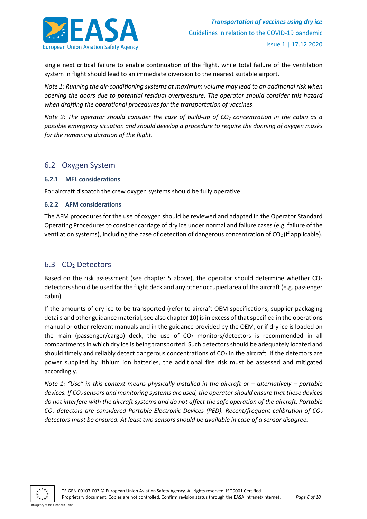

single next critical failure to enable continuation of the flight, while total failure of the ventilation system in flight should lead to an immediate diversion to the nearest suitable airport.

*Note 1: Running the air-conditioning systems at maximum volume may lead to an additional risk when opening the doors due to potential residual overpressure. The operator should consider this hazard when drafting the operational procedures for the transportation of vaccines.*

*Note 2: The operator should consider the case of build-up of CO<sup>2</sup> concentration in the cabin as a possible emergency situation and should develop a procedure to require the donning of oxygen masks for the remaining duration of the flight.*

### <span id="page-5-0"></span>6.2 Oxygen System

### **6.2.1 MEL considerations**

For aircraft dispatch the crew oxygen systems should be fully operative.

### **6.2.2 AFM considerations**

The AFM procedures for the use of oxygen should be reviewed and adapted in the Operator Standard Operating Procedures to consider carriage of dry ice under normal and failure cases (e.g. failure of the ventilation systems), including the case of detection of dangerous concentration of  $CO<sub>2</sub>$  (if applicable).

# <span id="page-5-1"></span>6.3 CO<sup>2</sup> Detectors

Based on the risk assessment (see chapter 5 above), the operator should determine whether  $CO<sub>2</sub>$ detectors should be used for the flight deck and any other occupied area of the aircraft (e.g. passenger cabin).

If the amounts of dry ice to be transported (refer to aircraft OEM specifications, supplier packaging details and other guidance material, see also chapter 10) is in excess of that specified in the operations manual or other relevant manuals and in the guidance provided by the OEM, or if dry ice is loaded on the main (passenger/cargo) deck, the use of  $CO<sub>2</sub>$  monitors/detectors is recommended in all compartments in which dry ice is being transported. Such detectors should be adequately located and should timely and reliably detect dangerous concentrations of  $CO<sub>2</sub>$  in the aircraft. If the detectors are power supplied by lithium ion batteries, the additional fire risk must be assessed and mitigated accordingly.

*Note* 1: "Use" in this context means physically installed in the aircraft or – alternatively – portable *devices. If CO<sup>2</sup> sensors and monitoring systems are used, the operator should ensure that these devices do not interfere with the aircraft systems and do not affect the safe operation of the aircraft. Portable CO<sup>2</sup> detectors are considered Portable Electronic Devices (PED). Recent/frequent calibration of CO<sup>2</sup> detectors must be ensured. At least two sensors should be available in case of a sensor disagree.*

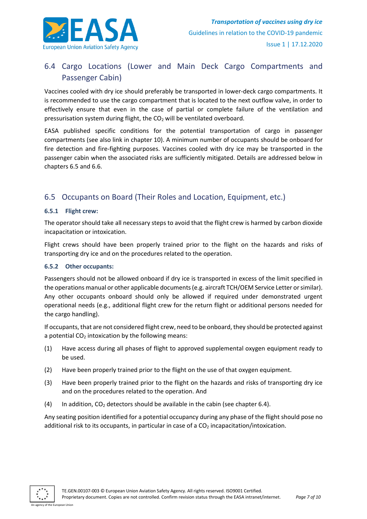

# <span id="page-6-0"></span>6.4 Cargo Locations (Lower and Main Deck Cargo Compartments and Passenger Cabin)

Vaccines cooled with dry ice should preferably be transported in lower-deck cargo compartments. It is recommended to use the cargo compartment that is located to the next outflow valve, in order to effectively ensure that even in the case of partial or complete failure of the ventilation and pressurisation system during flight, the CO<sub>2</sub> will be ventilated overboard.

EASA published specific conditions for the potential transportation of cargo in passenger compartments (see also link in chapter 10). A minimum number of occupants should be onboard for fire detection and fire-fighting purposes. Vaccines cooled with dry ice may be transported in the passenger cabin when the associated risks are sufficiently mitigated. Details are addressed below in chapters 6.5 and 6.6.

# <span id="page-6-1"></span>6.5 Occupants on Board (Their Roles and Location, Equipment, etc.)

### **6.5.1 Flight crew:**

The operator should take all necessary steps to avoid that the flight crew is harmed by carbon dioxide incapacitation or intoxication.

Flight crews should have been properly trained prior to the flight on the hazards and risks of transporting dry ice and on the procedures related to the operation.

#### **6.5.2 Other occupants:**

Passengers should not be allowed onboard if dry ice is transported in excess of the limit specified in the operations manual or other applicable documents (e.g. aircraft TCH/OEM Service Letter or similar). Any other occupants onboard should only be allowed if required under demonstrated urgent operational needs (e.g., additional flight crew for the return flight or additional persons needed for the cargo handling).

If occupants, that are not considered flight crew, need to be onboard, they should be protected against a potential  $CO<sub>2</sub>$  intoxication by the following means:

- (1) Have access during all phases of flight to approved supplemental oxygen equipment ready to be used.
- (2) Have been properly trained prior to the flight on the use of that oxygen equipment.
- (3) Have been properly trained prior to the flight on the hazards and risks of transporting dry ice and on the procedures related to the operation. And
- (4) In addition,  $CO<sub>2</sub>$  detectors should be available in the cabin (see chapter 6.4).

Any seating position identified for a potential occupancy during any phase of the flight should pose no additional risk to its occupants, in particular in case of a  $CO<sub>2</sub>$  incapacitation/intoxication.

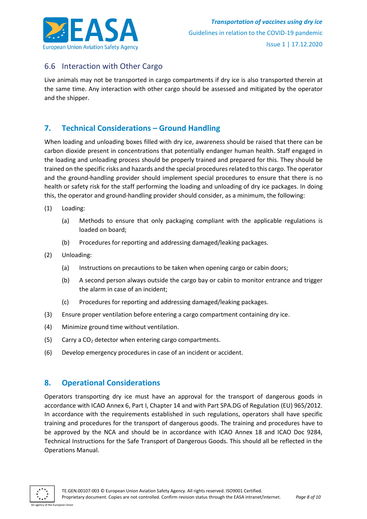

# <span id="page-7-0"></span>6.6 Interaction with Other Cargo

Live animals may not be transported in cargo compartments if dry ice is also transported therein at the same time. Any interaction with other cargo should be assessed and mitigated by the operator and the shipper.

# <span id="page-7-1"></span>**7. Technical Considerations – Ground Handling**

When loading and unloading boxes filled with dry ice, awareness should be raised that there can be carbon dioxide present in concentrations that potentially endanger human health. Staff engaged in the loading and unloading process should be properly trained and prepared for this. They should be trained on the specific risks and hazards and the special procedures related to this cargo. The operator and the ground-handling provider should implement special procedures to ensure that there is no health or safety risk for the staff performing the loading and unloading of dry ice packages. In doing this, the operator and ground-handling provider should consider, as a minimum, the following:

- (1) Loading:
	- (a) Methods to ensure that only packaging compliant with the applicable regulations is loaded on board;
	- (b) Procedures for reporting and addressing damaged/leaking packages.
- (2) Unloading:
	- (a) Instructions on precautions to be taken when opening cargo or cabin doors;
	- (b) A second person always outside the cargo bay or cabin to monitor entrance and trigger the alarm in case of an incident;
	- (c) Procedures for reporting and addressing damaged/leaking packages.
- (3) Ensure proper ventilation before entering a cargo compartment containing dry ice.
- (4) Minimize ground time without ventilation.
- (5) Carry a  $CO<sub>2</sub>$  detector when entering cargo compartments.
- (6) Develop emergency procedures in case of an incident or accident.

# <span id="page-7-2"></span>**8. Operational Considerations**

Operators transporting dry ice must have an approval for the transport of dangerous goods in accordance with ICAO Annex 6, Part I, Chapter 14 and with Part SPA.DG of Regulation (EU) 965/2012. In accordance with the requirements established in such regulations, operators shall have specific training and procedures for the transport of dangerous goods. The training and procedures have to be approved by the NCA and should be in accordance with ICAO Annex 18 and ICAO Doc 9284, Technical Instructions for the Safe Transport of Dangerous Goods. This should all be reflected in the Operations Manual.

An agency of the European Union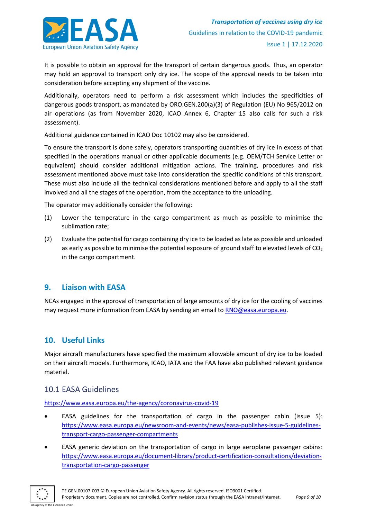

It is possible to obtain an approval for the transport of certain dangerous goods. Thus, an operator may hold an approval to transport only dry ice. The scope of the approval needs to be taken into consideration before accepting any shipment of the vaccine.

Additionally, operators need to perform a risk assessment which includes the specificities of dangerous goods transport, as mandated by ORO.GEN.200(a)(3) of Regulation (EU) No 965/2012 on air operations (as from November 2020, ICAO Annex 6, Chapter 15 also calls for such a risk assessment).

Additional guidance contained in ICAO Doc 10102 may also be considered.

To ensure the transport is done safely, operators transporting quantities of dry ice in excess of that specified in the operations manual or other applicable documents (e.g. OEM/TCH Service Letter or equivalent) should consider additional mitigation actions. The training, procedures and risk assessment mentioned above must take into consideration the specific conditions of this transport. These must also include all the technical considerations mentioned before and apply to all the staff involved and all the stages of the operation, from the acceptance to the unloading.

The operator may additionally consider the following:

- (1) Lower the temperature in the cargo compartment as much as possible to minimise the sublimation rate;
- (2) Evaluate the potential for cargo containing dry ice to be loaded as late as possible and unloaded as early as possible to minimise the potential exposure of ground staff to elevated levels of  $CO<sub>2</sub>$ in the cargo compartment.

# <span id="page-8-0"></span>**9. Liaison with EASA**

NCAs engaged in the approval of [transportation](mailto:covid-ctd@easa.europa.eu) of large amounts of dry ice for the cooling of vaccines may request more information from EASA by sending an email to [RNO@easa.europa.eu.](mailto:RNO@easa.europa.eu)

# <span id="page-8-1"></span>**10. Useful Links**

Major aircraft manufacturers have specified the maximum allowable amount of dry ice to be loaded on their aircraft models. Furthermore, ICAO, IATA and the FAA have also published relevant guidance material.

# <span id="page-8-2"></span>10.1 EASA Guidelines

<https://www.easa.europa.eu/the-agency/coronavirus-covid-19>

- EASA guidelines for the transportation of cargo in the passenger cabin (issue 5): [https://www.easa.europa.eu/newsroom-and-events/news/easa-publishes-issue-5-guidelines](https://www.easa.europa.eu/newsroom-and-events/news/easa-publishes-issue-5-guidelines-transport-cargo-passenger-compartments)[transport-cargo-passenger-compartments](https://www.easa.europa.eu/newsroom-and-events/news/easa-publishes-issue-5-guidelines-transport-cargo-passenger-compartments)
- EASA generic deviation on the transportation of cargo in large aeroplane passenger cabins: [https://www.easa.europa.eu/document-library/product-certification-consultations/deviation](https://www.easa.europa.eu/document-library/product-certification-consultations/deviation-transportation-cargo-passenger)[transportation-cargo-passenger](https://www.easa.europa.eu/document-library/product-certification-consultations/deviation-transportation-cargo-passenger)